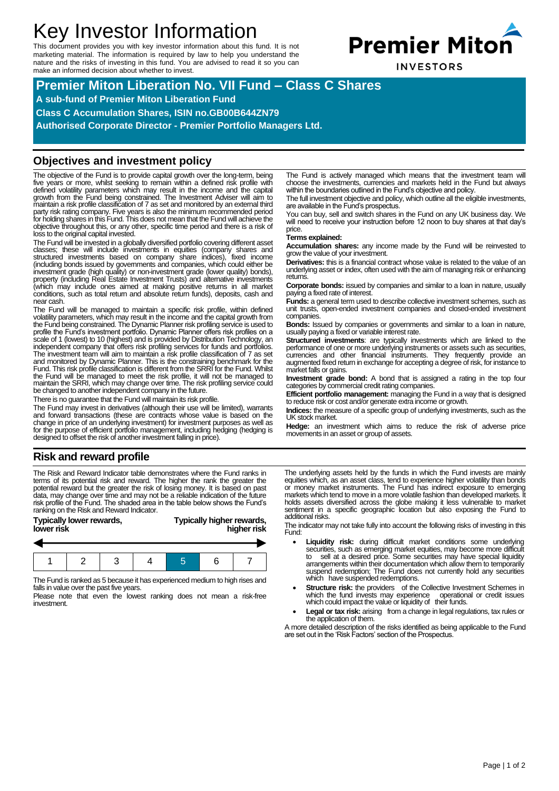# Key Investor Information

This document provides you with key investor information about this fund. It is not marketing material. The information is required by law to help you understand the nature and the risks of investing in this fund. You are advised to read it so you can make an informed decision about whether to invest.



**INVESTORS** 

**Premier Miton Liberation No. VII Fund – Class C Shares A sub-fund of Premier Miton Liberation Fund Class C Accumulation Shares, ISIN no.GB00B644ZN79 Authorised Corporate Director - Premier Portfolio Managers Ltd.**

## **Objectives and investment policy**

The objective of the Fund is to provide capital growth over the long-term, being<br>five years or more, whilst seeking to remain within a defined risk profile with<br>defined volatility parameters which may result in the income growth from the Fund being constrained. The Investment Adviser will aim to maintain a risk profile classification of 7 as set and monitored by an external third party risk rating company. Five years is also the minimum recommended period for holding shares in this Fund. This does not mean that the Fund will achieve the objective throughout this, or any other, specific time period and there is a risk of loss to the original capital invested.

The Fund will be invested in a globally diversified portfolio covering different asset classes; these will include investments in equities (company shares and<br>structured investments based on company share indices), fixed income<br>(including bonds issued by governments and companies, which could either be<br>inves property (including Real Estate Investment Trusts) and alternative investments (which may include ones aimed at making positive returns in all market conditions, such as total return and absolute return funds), deposits, cash and near cash.

The Fund will be managed to maintain a specific risk profile, within defined<br>volatility parameters, which may result in the income and the capital growth from<br>the Fund being constrained. The Dynamic Planner risk profiling profile the Fund's investment portfolio. Dynamic Planner offers risk profiles on a scale of 1 (lowest) to 10 (highest) and is provided by Distribution Technology, an independent company that offers risk profiling services for funds and portfolios. The investment team will aim to maintain a risk profile classification of 7 as set and monitored by Dynamic Planner. This is the constraining benchmark for the Fund. This risk profile classification is different from the SRRI for the Fund. Whilst the Fund will be managed to meet the risk profile, it will not be managed to maintain the SRRI, which may change over time. The risk profiling service could be changed to another independent company in the future.

There is no guarantee that the Fund will maintain its risk profile.

The Fund may invest in derivatives (although their use will be limited), warrants and forward transactions (these are contracts whose value is based on the change in price of an underlying investment) for investment purposes as well as for the purpose of efficient portfolio management, including hedging (hedging is designed to offset the risk of another investment falling in price).

The Fund is actively managed which means that the investment team will choose the investments, currencies and markets held in the Fund but always within the boundaries outlined in the Fund's objective and policy.

The full investment objective and policy, which outline all the eligible investments, are available in the Fund's prospectus.

You can buy, sell and switch shares in the Fund on any UK business day. We will need to receive your instruction before 12 noon to buy shares at that day's price.

#### **Terms explained:**

**Accumulation shares:** any income made by the Fund will be reinvested to grow the value of your investment.

**Derivatives:** this is a financial contract whose value is related to the value of an underlying asset or index, often used with the aim of managing risk or enhancing returns.

**Corporate bonds:** issued by companies and similar to a loan in nature, usually paying a fixed rate of interest.

**Funds:** a general term used to describe collective investment schemes, such as unit trusts, open-ended investment companies and closed-ended investment companies.

**Bonds:** Issued by companies or governments and similar to a loan in nature, usually paying a fixed or variable interest rate.

**Structured investments**: are typically investments which are linked to the performance of one or more underlying instruments or assets such as securities, currencies and other financial instruments. They frequently provide an augmented fixed return in exchange for accepting a degree of risk, for instance to market falls or gains.

**Investment grade bond:** A bond that is assigned a rating in the top four categories by commercial credit rating companies.

**Efficient portfolio management:** managing the Fund in a way that is designed to reduce risk or cost and/or generate extra income or growth.

**Indices:** the measure of a specific group of underlying investments, such as the UK stock market.

**Hedge:** an investment which aims to reduce the risk of adverse price movements in an asset or group of assets.

## **Risk and reward profile**

The Risk and Reward Indicator table demonstrates where the Fund ranks in terms of its potential risk and reward. The higher the rank the greater the<br>potential reward but the greater the risk of losing money. It is based on past<br>data, may change over time and may not be a reliable indication of ranking on the Risk and Reward Indicator.

#### **Typically lower rewards, Typically higher rewards, lower risk higher risk**



The Fund is ranked as 5 because it has experienced medium to high rises and falls in value over the past five years.

Please note that even the lowest ranking does not mean a risk-free investment.

The underlying assets held by the funds in which the Fund invests are mainly<br>equities which, as an asset class, tend to experience higher volatility than bonds<br>or money market instruments. The Fund has indirect exposure to holds assets diversified across the globe making it less vulnerable to market sentiment in a specific geographic location but also exposing the Fund to additional risks.

The indicator may not take fully into account the following risks of investing in this Fund:

- **Liquidity risk:** during difficult market conditions some underlying securities, such as emerging market equities, may become more difficult to sell at a desired price. Some securities may have special liquidity arrangements within their documentation which allow them to temporarily suspend redemption; The Fund does not currently hold any securities which have suspended redemptions.
- **Structure risk:** the providers of the Collective Investment Schemes in which the fund invests may experience operational or credit issues which the fund invests may experience operational or credit issues<br>which could impact the value or liquidity of their funds.
- Legal or tax risk: arising from a change in legal regulations, tax rules or the application of them.

A more detailed description of the risks identified as being applicable to the Fund are set out in the 'Risk Factors' section of the Prospectus.